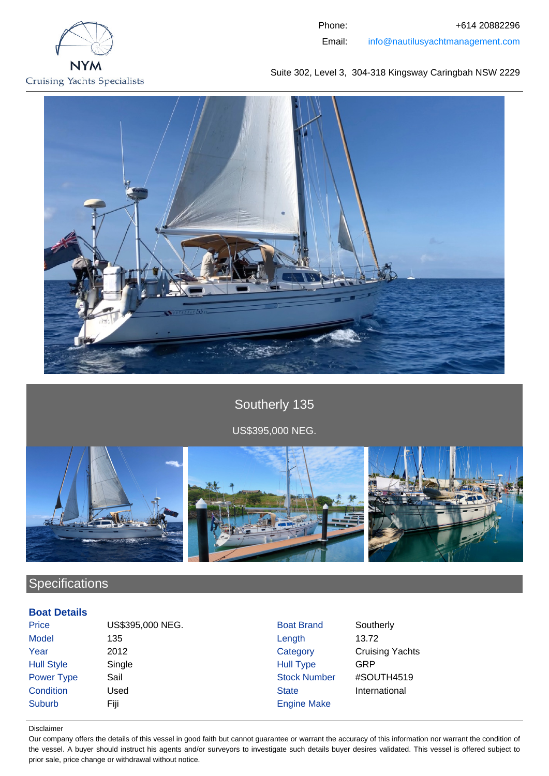

Phone: +614 20882296 Email: info@nautilusyachtmanagement.com

Suite 302, Level 3, 304-318 Kingsway Caringbah NSW 2229



Southerly 135 US\$395,000 NEG.



# **Specifications**

# **Boat Details**

Price **US\$395,000 NEG.** Boat Brand Southerly Model 135 Length 13.72 **Year** 2012 2012 Category Cruising Yachts Hull Style Single Single Single Hull Type GRP Power Type Sail Sail Stock Number #SOUTH4519 **Condition** Used **State** State International Suburb Fiji Fiji Engine Make

#### Disclaimer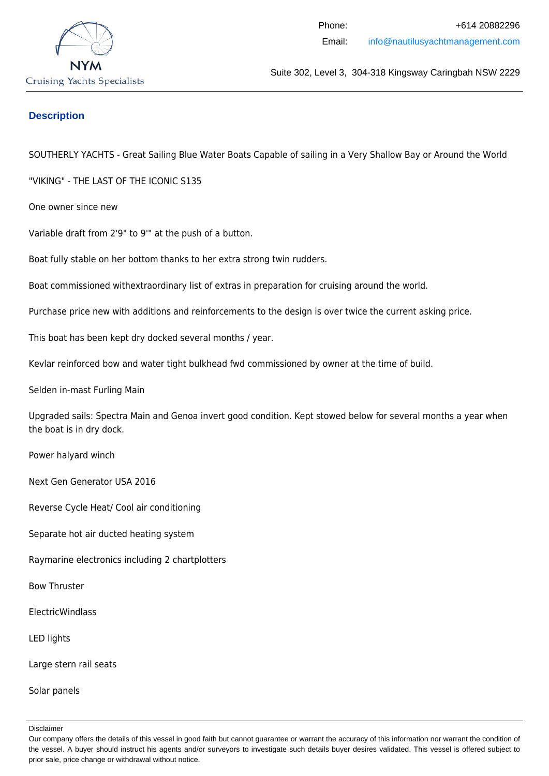

# **Description**

SOUTHERLY YACHTS - Great Sailing Blue Water Boats Capable of sailing in a Very Shallow Bay or Around the World

"VIKING" - THE LAST OF THE ICONIC S135

One owner since new

Variable draft from 2'9" to 9'" at the push of a button.

Boat fully stable on her bottom thanks to her extra strong twin rudders.

Boat commissioned withextraordinary list of extras in preparation for cruising around the world.

Purchase price new with additions and reinforcements to the design is over twice the current asking price.

This boat has been kept dry docked several months / year.

Kevlar reinforced bow and water tight bulkhead fwd commissioned by owner at the time of build.

Selden in-mast Furling Main

Upgraded sails: Spectra Main and Genoa invert good condition. Kept stowed below for several months a year when the boat is in dry dock.

Power halyard winch

Next Gen Generator USA 2016

Reverse Cycle Heat/ Cool air conditioning

Separate hot air ducted heating system

Raymarine electronics including 2 chartplotters

Bow Thruster

ElectricWindlass

LED lights

Large stern rail seats

Solar panels

Our company offers the details of this vessel in good faith but cannot guarantee or warrant the accuracy of this information nor warrant the condition of the vessel. A buyer should instruct his agents and/or surveyors to investigate such details buyer desires validated. This vessel is offered subject to prior sale, price change or withdrawal without notice.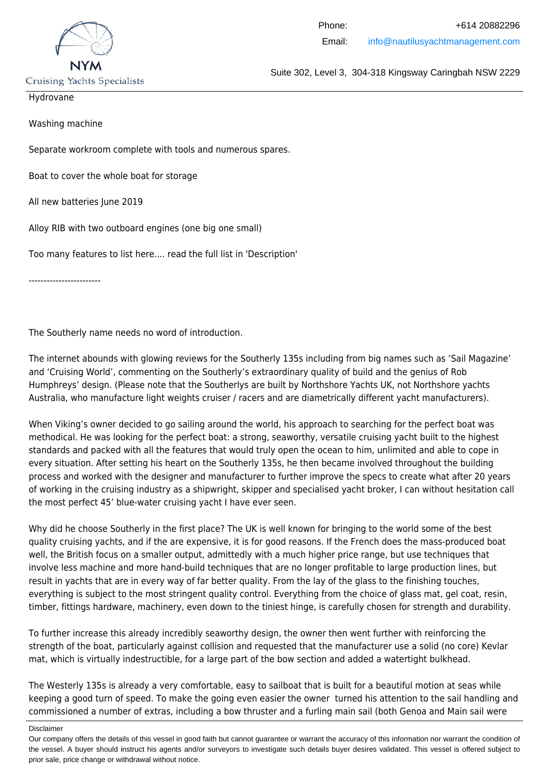

**Cruising Yachts Specialists** 

Suite 302, Level 3, 304-318 Kingsway Caringbah NSW 2229

Hydrovane

Washing machine

Separate workroom complete with tools and numerous spares.

Boat to cover the whole boat for storage

All new batteries June 2019

Alloy RIB with two outboard engines (one big one small)

Too many features to list here.... read the full list in 'Description'

------------------------

The Southerly name needs no word of introduction.

The internet abounds with glowing reviews for the Southerly 135s including from big names such as 'Sail Magazine' and 'Cruising World', commenting on the Southerly's extraordinary quality of build and the genius of Rob Humphreys' design. (Please note that the Southerlys are built by Northshore Yachts UK, not Northshore yachts Australia, who manufacture light weights cruiser / racers and are diametrically different yacht manufacturers).

When Viking's owner decided to go sailing around the world, his approach to searching for the perfect boat was methodical. He was looking for the perfect boat: a strong, seaworthy, versatile cruising yacht built to the highest standards and packed with all the features that would truly open the ocean to him, unlimited and able to cope in every situation. After setting his heart on the Southerly 135s, he then became involved throughout the building process and worked with the designer and manufacturer to further improve the specs to create what after 20 years of working in the cruising industry as a shipwright, skipper and specialised yacht broker, I can without hesitation call the most perfect 45' blue-water cruising yacht I have ever seen.

Why did he choose Southerly in the first place? The UK is well known for bringing to the world some of the best quality cruising yachts, and if the are expensive, it is for good reasons. If the French does the mass-produced boat well, the British focus on a smaller output, admittedly with a much higher price range, but use techniques that involve less machine and more hand-build techniques that are no longer profitable to large production lines, but result in yachts that are in every way of far better quality. From the lay of the glass to the finishing touches, everything is subject to the most stringent quality control. Everything from the choice of glass mat, gel coat, resin, timber, fittings hardware, machinery, even down to the tiniest hinge, is carefully chosen for strength and durability.

To further increase this already incredibly seaworthy design, the owner then went further with reinforcing the strength of the boat, particularly against collision and requested that the manufacturer use a solid (no core) Kevlar mat, which is virtually indestructible, for a large part of the bow section and added a watertight bulkhead.

The Westerly 135s is already a very comfortable, easy to sailboat that is built for a beautiful motion at seas while keeping a good turn of speed. To make the going even easier the owner turned his attention to the sail handling and commissioned a number of extras, including a bow thruster and a furling main sail (both Genoa and Main sail were

Disclaimer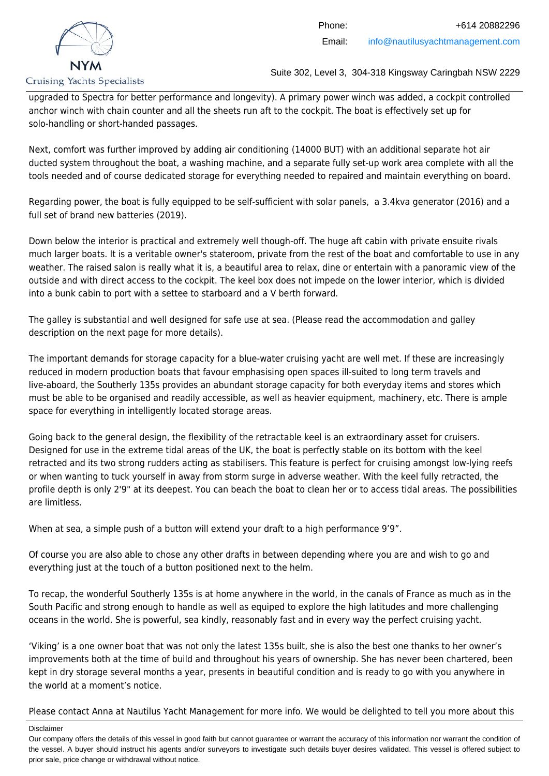

upgraded to Spectra for better performance and longevity). A primary power winch was added, a cockpit controlled anchor winch with chain counter and all the sheets run aft to the cockpit. The boat is effectively set up for solo-handling or short-handed passages.

Next, comfort was further improved by adding air conditioning (14000 BUT) with an additional separate hot air ducted system throughout the boat, a washing machine, and a separate fully set-up work area complete with all the tools needed and of course dedicated storage for everything needed to repaired and maintain everything on board.

Regarding power, the boat is fully equipped to be self-sufficient with solar panels, a 3.4kva generator (2016) and a full set of brand new batteries (2019).

Down below the interior is practical and extremely well though-off. The huge aft cabin with private ensuite rivals much larger boats. It is a veritable owner's stateroom, private from the rest of the boat and comfortable to use in any weather. The raised salon is really what it is, a beautiful area to relax, dine or entertain with a panoramic view of the outside and with direct access to the cockpit. The keel box does not impede on the lower interior, which is divided into a bunk cabin to port with a settee to starboard and a V berth forward.

The galley is substantial and well designed for safe use at sea. (Please read the accommodation and galley description on the next page for more details).

The important demands for storage capacity for a blue-water cruising yacht are well met. If these are increasingly reduced in modern production boats that favour emphasising open spaces ill-suited to long term travels and live-aboard, the Southerly 135s provides an abundant storage capacity for both everyday items and stores which must be able to be organised and readily accessible, as well as heavier equipment, machinery, etc. There is ample space for everything in intelligently located storage areas.

Going back to the general design, the flexibility of the retractable keel is an extraordinary asset for cruisers. Designed for use in the extreme tidal areas of the UK, the boat is perfectly stable on its bottom with the keel retracted and its two strong rudders acting as stabilisers. This feature is perfect for cruising amongst low-lying reefs or when wanting to tuck yourself in away from storm surge in adverse weather. With the keel fully retracted, the profile depth is only 2'9" at its deepest. You can beach the boat to clean her or to access tidal areas. The possibilities are limitless.

When at sea, a simple push of a button will extend your draft to a high performance 9'9".

Of course you are also able to chose any other drafts in between depending where you are and wish to go and everything just at the touch of a button positioned next to the helm.

To recap, the wonderful Southerly 135s is at home anywhere in the world, in the canals of France as much as in the South Pacific and strong enough to handle as well as equiped to explore the high latitudes and more challenging oceans in the world. She is powerful, sea kindly, reasonably fast and in every way the perfect cruising yacht.

'Viking' is a one owner boat that was not only the latest 135s built, she is also the best one thanks to her owner's improvements both at the time of build and throughout his years of ownership. She has never been chartered, been kept in dry storage several months a year, presents in beautiful condition and is ready to go with you anywhere in the world at a moment's notice.

Please contact Anna at Nautilus Yacht Management for more info. We would be delighted to tell you more about this

Our company offers the details of this vessel in good faith but cannot guarantee or warrant the accuracy of this information nor warrant the condition of the vessel. A buyer should instruct his agents and/or surveyors to investigate such details buyer desires validated. This vessel is offered subject to prior sale, price change or withdrawal without notice.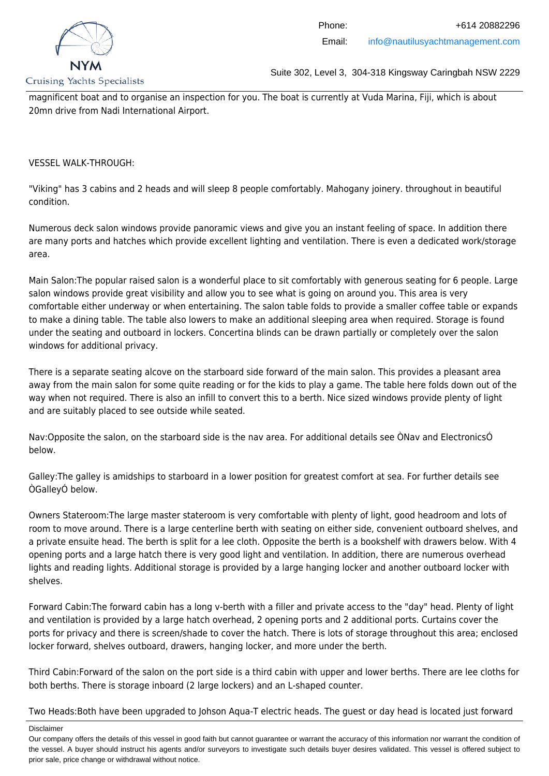

magnificent boat and to organise an inspection for you. The boat is currently at Vuda Marina, Fiji, which is about 20mn drive from Nadi International Airport.

VESSEL WALK-THROUGH:

"Viking" has 3 cabins and 2 heads and will sleep 8 people comfortably. Mahogany joinery. throughout in beautiful condition.

Numerous deck salon windows provide panoramic views and give you an instant feeling of space. In addition there are many ports and hatches which provide excellent lighting and ventilation. There is even a dedicated work/storage area.

Main Salon:The popular raised salon is a wonderful place to sit comfortably with generous seating for 6 people. Large salon windows provide great visibility and allow you to see what is going on around you. This area is very comfortable either underway or when entertaining. The salon table folds to provide a smaller coffee table or expands to make a dining table. The table also lowers to make an additional sleeping area when required. Storage is found under the seating and outboard in lockers. Concertina blinds can be drawn partially or completely over the salon windows for additional privacy.

There is a separate seating alcove on the starboard side forward of the main salon. This provides a pleasant area away from the main salon for some quite reading or for the kids to play a game. The table here folds down out of the way when not required. There is also an infill to convert this to a berth. Nice sized windows provide plenty of light and are suitably placed to see outside while seated.

Nav:Opposite the salon, on the starboard side is the nav area. For additional details see ÒNav and ElectronicsÓ below.

Galley:The galley is amidships to starboard in a lower position for greatest comfort at sea. For further details see ÒGalleyÓ below.

Owners Stateroom:The large master stateroom is very comfortable with plenty of light, good headroom and lots of room to move around. There is a large centerline berth with seating on either side, convenient outboard shelves, and a private ensuite head. The berth is split for a lee cloth. Opposite the berth is a bookshelf with drawers below. With 4 opening ports and a large hatch there is very good light and ventilation. In addition, there are numerous overhead lights and reading lights. Additional storage is provided by a large hanging locker and another outboard locker with shelves.

Forward Cabin:The forward cabin has a long v-berth with a filler and private access to the "day" head. Plenty of light and ventilation is provided by a large hatch overhead, 2 opening ports and 2 additional ports. Curtains cover the ports for privacy and there is screen/shade to cover the hatch. There is lots of storage throughout this area; enclosed locker forward, shelves outboard, drawers, hanging locker, and more under the berth.

Third Cabin:Forward of the salon on the port side is a third cabin with upper and lower berths. There are lee cloths for both berths. There is storage inboard (2 large lockers) and an L-shaped counter.

Two Heads:Both have been upgraded to Johson Aqua-T electric heads. The guest or day head is located just forward

Our company offers the details of this vessel in good faith but cannot guarantee or warrant the accuracy of this information nor warrant the condition of the vessel. A buyer should instruct his agents and/or surveyors to investigate such details buyer desires validated. This vessel is offered subject to prior sale, price change or withdrawal without notice.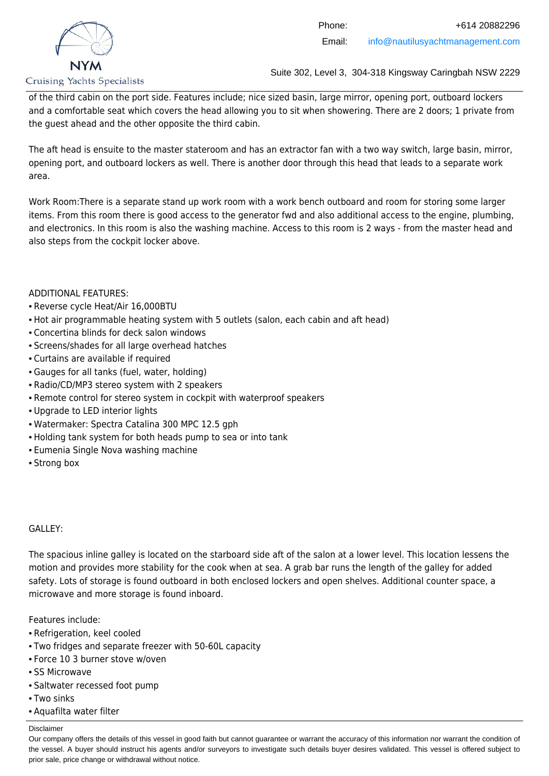

of the third cabin on the port side. Features include; nice sized basin, large mirror, opening port, outboard lockers and a comfortable seat which covers the head allowing you to sit when showering. There are 2 doors; 1 private from the guest ahead and the other opposite the third cabin.

The aft head is ensuite to the master stateroom and has an extractor fan with a two way switch, large basin, mirror, opening port, and outboard lockers as well. There is another door through this head that leads to a separate work area.

Work Room:There is a separate stand up work room with a work bench outboard and room for storing some larger items. From this room there is good access to the generator fwd and also additional access to the engine, plumbing, and electronics. In this room is also the washing machine. Access to this room is 2 ways - from the master head and also steps from the cockpit locker above.

ADDITIONAL FEATURES:

- Reverse cycle Heat/Air 16,000BTU
- Hot air programmable heating system with 5 outlets (salon, each cabin and aft head)
- Concertina blinds for deck salon windows
- Screens/shades for all large overhead hatches
- Curtains are available if required
- Gauges for all tanks (fuel, water, holding)
- Radio/CD/MP3 stereo system with 2 speakers
- Remote control for stereo system in cockpit with waterproof speakers
- Upgrade to LED interior lights
- Watermaker: Spectra Catalina 300 MPC 12.5 gph
- Holding tank system for both heads pump to sea or into tank
- Eumenia Single Nova washing machine
- Strong box

### GALLEY:

The spacious inline galley is located on the starboard side aft of the salon at a lower level. This location lessens the motion and provides more stability for the cook when at sea. A grab bar runs the length of the galley for added safety. Lots of storage is found outboard in both enclosed lockers and open shelves. Additional counter space, a microwave and more storage is found inboard.

Features include:

- Refrigeration, keel cooled
- Two fridges and separate freezer with 50-60L capacity
- Force 10 3 burner stove w/oven
- SS Microwave
- Saltwater recessed foot pump
- Two sinks
- Aquafilta water filter

#### Disclaimer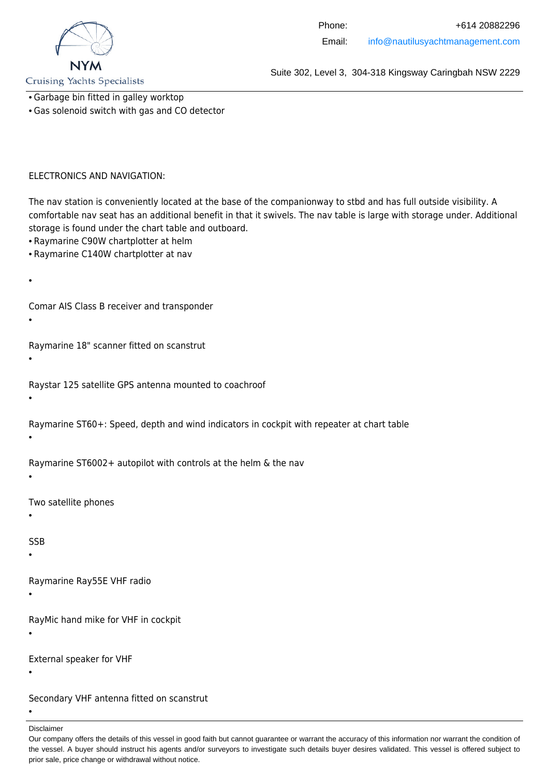

**Cruising Yachts Specialists** 

- Garbage bin fitted in galley worktop
- Gas solenoid switch with gas and CO detector

#### ELECTRONICS AND NAVIGATION:

The nav station is conveniently located at the base of the companionway to stbd and has full outside visibility. A comfortable nav seat has an additional benefit in that it swivels. The nav table is large with storage under. Additional storage is found under the chart table and outboard.

- Raymarine C90W chartplotter at helm
- Raymarine C140W chartplotter at nav
- •

Comar AIS Class B receiver and transponder

•

Raymarine 18" scanner fitted on scanstrut

•

Raystar 125 satellite GPS antenna mounted to coachroof

•

Raymarine ST60+: Speed, depth and wind indicators in cockpit with repeater at chart table

•

Raymarine ST6002+ autopilot with controls at the helm & the nav

•

Two satellite phones

•

SSB

•

Raymarine Ray55E VHF radio

•

RayMic hand mike for VHF in cockpit

•

External speaker for VHF

•

Secondary VHF antenna fitted on scanstrut

•

Our company offers the details of this vessel in good faith but cannot guarantee or warrant the accuracy of this information nor warrant the condition of the vessel. A buyer should instruct his agents and/or surveyors to investigate such details buyer desires validated. This vessel is offered subject to prior sale, price change or withdrawal without notice.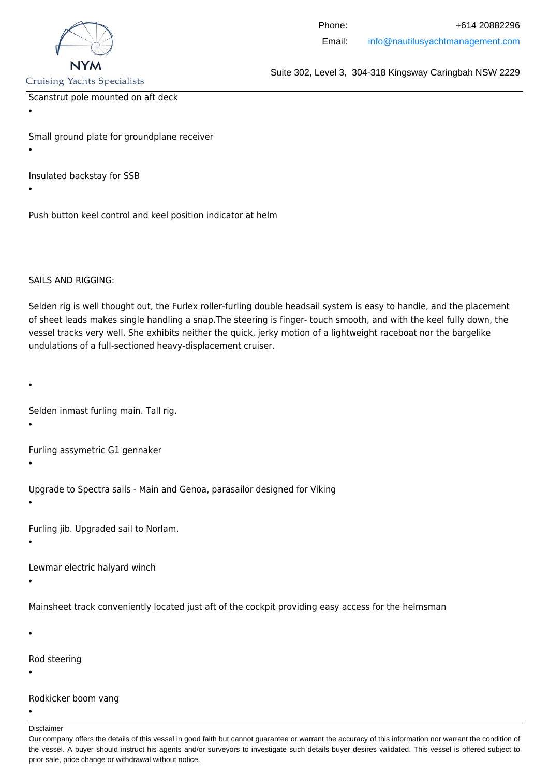

**Cruising Yachts Specialists** 

Scanstrut pole mounted on aft deck

•

Small ground plate for groundplane receiver

•

Insulated backstay for SSB

•

Push button keel control and keel position indicator at helm

SAILS AND RIGGING:

Selden rig is well thought out, the Furlex roller-furling double headsail system is easy to handle, and the placement of sheet leads makes single handling a snap.The steering is finger- touch smooth, and with the keel fully down, the vessel tracks very well. She exhibits neither the quick, jerky motion of a lightweight raceboat nor the bargelike undulations of a full-sectioned heavy-displacement cruiser.

•

Selden inmast furling main. Tall rig.

•

Furling assymetric G1 gennaker

•

Upgrade to Spectra sails - Main and Genoa, parasailor designed for Viking

•

Furling jib. Upgraded sail to Norlam.

•

Lewmar electric halyard winch

•

Mainsheet track conveniently located just aft of the cockpit providing easy access for the helmsman

•

Rod steering

•

Rodkicker boom vang

•

Disclaimer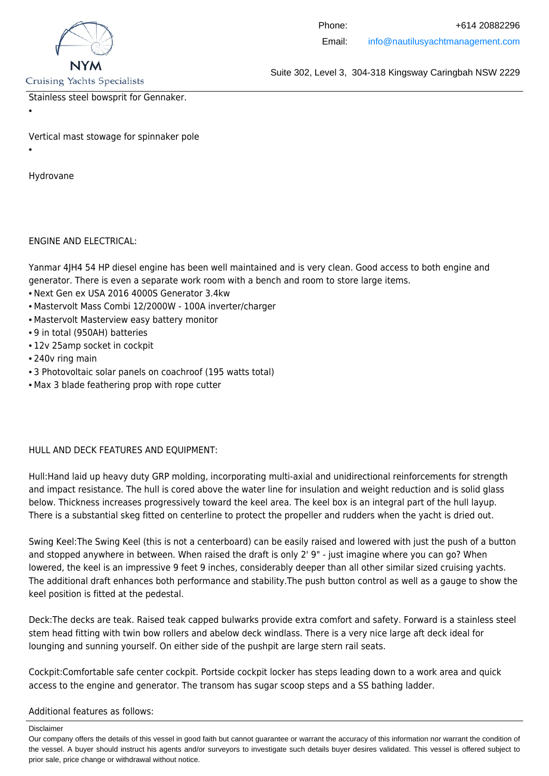

**Cruising Yachts Specialists** 

Suite 302, Level 3, 304-318 Kingsway Caringbah NSW 2229

Stainless steel bowsprit for Gennaker.

•

Vertical mast stowage for spinnaker pole

•

Hydrovane

ENGINE AND ELECTRICAL:

Yanmar 4JH4 54 HP diesel engine has been well maintained and is very clean. Good access to both engine and generator. There is even a separate work room with a bench and room to store large items.

- Next Gen ex USA 2016 4000S Generator 3.4kw
- Mastervolt Mass Combi 12/2000W 100A inverter/charger
- Mastervolt Masterview easy battery monitor
- 9 in total (950AH) batteries
- 12v 25amp socket in cockpit
- 240v ring main
- 3 Photovoltaic solar panels on coachroof (195 watts total)
- Max 3 blade feathering prop with rope cutter

### HULL AND DECK FEATURES AND EQUIPMENT:

Hull:Hand laid up heavy duty GRP molding, incorporating multi-axial and unidirectional reinforcements for strength and impact resistance. The hull is cored above the water line for insulation and weight reduction and is solid glass below. Thickness increases progressively toward the keel area. The keel box is an integral part of the hull layup. There is a substantial skeg fitted on centerline to protect the propeller and rudders when the yacht is dried out.

Swing Keel:The Swing Keel (this is not a centerboard) can be easily raised and lowered with just the push of a button and stopped anywhere in between. When raised the draft is only 2' 9" - just imagine where you can go? When lowered, the keel is an impressive 9 feet 9 inches, considerably deeper than all other similar sized cruising yachts. The additional draft enhances both performance and stability.The push button control as well as a gauge to show the keel position is fitted at the pedestal.

Deck:The decks are teak. Raised teak capped bulwarks provide extra comfort and safety. Forward is a stainless steel stem head fitting with twin bow rollers and abelow deck windlass. There is a very nice large aft deck ideal for lounging and sunning yourself. On either side of the pushpit are large stern rail seats.

Cockpit:Comfortable safe center cockpit. Portside cockpit locker has steps leading down to a work area and quick access to the engine and generator. The transom has sugar scoop steps and a SS bathing ladder.

Additional features as follows:

Our company offers the details of this vessel in good faith but cannot guarantee or warrant the accuracy of this information nor warrant the condition of the vessel. A buyer should instruct his agents and/or surveyors to investigate such details buyer desires validated. This vessel is offered subject to prior sale, price change or withdrawal without notice.